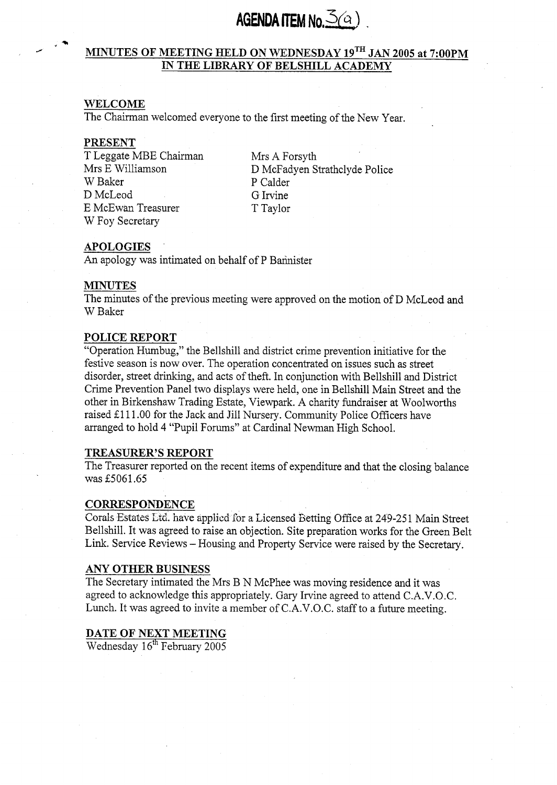# AGENDA ITEM No.  $\mathcal{S}(a)$

# +.'\* *J* **MINUTES OF MEETING HELD ON WEDNESDAY lgTH JAN 2005 at 7:OOPM IN THE LIBRARY OF BELSHILL ACADEMY**

# **WELCOME**

The Chairman welcomed everyone to the first meeting of the New Year.

### **PRESENT**

T Leggate MBE Chairman Mrs E Williamson D McLeod G Irvine<br>
E McEwan Treasurer Taylor E McEwan Treasurer W Foy Secretary

P Calder<br>G Irvine Mrs A Forsyth D McFadyen Strathclyde Police

# **APOLOGIES** '

An apology was intimated on behalf of P Bannister

### **MINUTES**

The minutes of the previous meeting were approved on the motion of D McLeod and W Baker

### **POLICE REPORT**

"Operation Humbug," the Bellshill and district crime prevention initiative for the festive season is now over. The operation concentrated on issues such as street disorder, street drinking, and acts of theft. In conjunction with Bellshill and District Crime Prevention Panel two displays were held, one in Bellshill Main Street and the other in Birkenshaw Trading Estate, Viewpark. **A** charity fundraiser at Woolworths raised £111.00 for the Jack and Jill Nursery. Community Police Officers have arranged to hold 4 "Pupil Forums" at Cardinal Newman High School.

### **TREASURER'S REPORT**

The Treasurer reported on the recent items of expenditure and that the closing balance was **55061.65** 

### **CORRESPONDENCE**

Corals Estates Ltd. have applied for a Licensed Betting Office at 249-251 Main Street Bellshill. It was agreed to raise an objection. Site preparation works for the Green Belt Link. Service Reviews - Housing and Property Service were raised by the Secretary.

### **ANY OTHER BUSINESS**

The Secretary intimated the Mrs B N McPhee was moving residence and it was agreed to acknowledge this appropriately. Gary Irvine agreed to attend C.A.V.O.C. Lunch. It was agreed to invite a member of C.A.V.O.C. staff to a future meeting.

# **DATE OF NEXT MEETING**

Wednesday **1 gfh** February **2005**